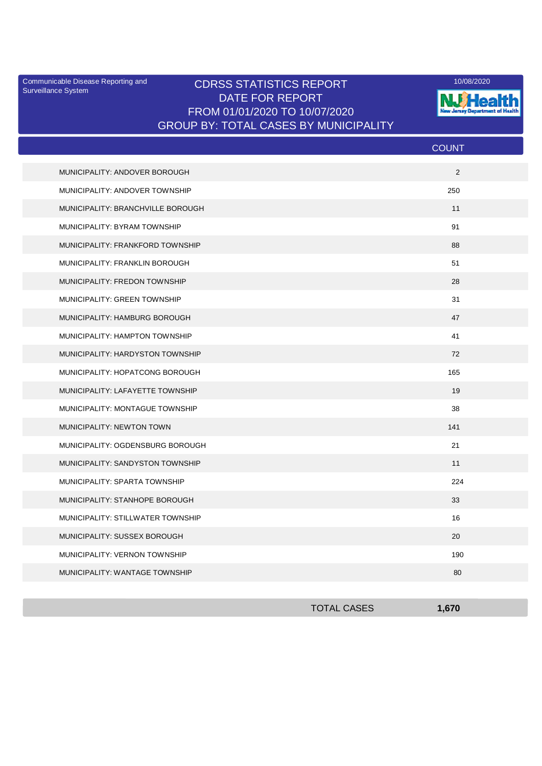Surveillance System

## Communicable Disease Reporting and **CDRSS STATISTICS REPORT** 10/08/2020<br>Curreillance Statem DATE FOR REPORT FROM 01/01/2020 TO 10/07/2020 GROUP BY: TOTAL CASES BY MUNICIPALITY



|                                   | <b>COUNT</b> |
|-----------------------------------|--------------|
| MUNICIPALITY: ANDOVER BOROUGH     | 2            |
| MUNICIPALITY: ANDOVER TOWNSHIP    | 250          |
| MUNICIPALITY: BRANCHVILLE BOROUGH | 11           |
| MUNICIPALITY: BYRAM TOWNSHIP      | 91           |
| MUNICIPALITY: FRANKFORD TOWNSHIP  | 88           |
| MUNICIPALITY: FRANKLIN BOROUGH    | 51           |
| MUNICIPALITY: FREDON TOWNSHIP     | 28           |
| MUNICIPALITY: GREEN TOWNSHIP      | 31           |
| MUNICIPALITY: HAMBURG BOROUGH     | 47           |
| MUNICIPALITY: HAMPTON TOWNSHIP    | 41           |
| MUNICIPALITY: HARDYSTON TOWNSHIP  | 72           |
| MUNICIPALITY: HOPATCONG BOROUGH   | 165          |
| MUNICIPALITY: LAFAYETTE TOWNSHIP  | 19           |
| MUNICIPALITY: MONTAGUE TOWNSHIP   | 38           |
| <b>MUNICIPALITY: NEWTON TOWN</b>  | 141          |
| MUNICIPALITY: OGDENSBURG BOROUGH  | 21           |
| MUNICIPALITY: SANDYSTON TOWNSHIP  | 11           |
| MUNICIPALITY: SPARTA TOWNSHIP     | 224          |
| MUNICIPALITY: STANHOPE BOROUGH    | 33           |
| MUNICIPALITY: STILLWATER TOWNSHIP | 16           |
| MUNICIPALITY: SUSSEX BOROUGH      | 20           |
| MUNICIPALITY: VERNON TOWNSHIP     | 190          |
| MUNICIPALITY: WANTAGE TOWNSHIP    | 80           |

| <b>TOTAL CASES</b> | 670 |
|--------------------|-----|
|                    |     |